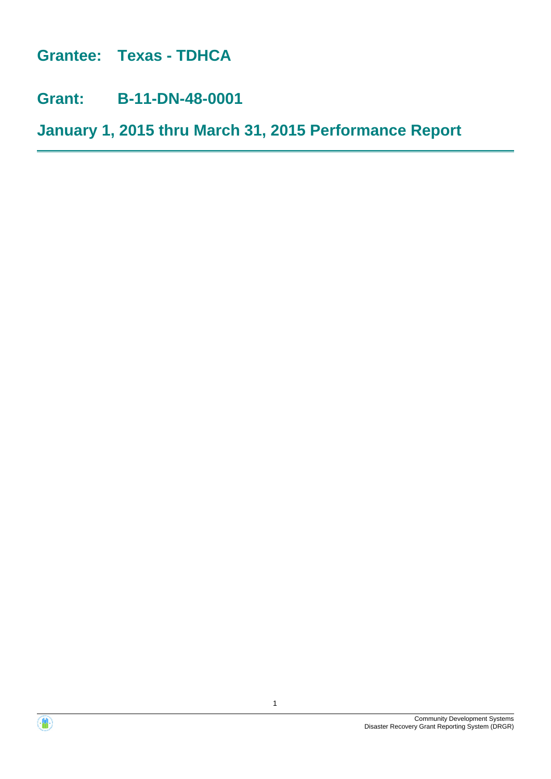**Grantee: Texas - TDHCA**

**Grant: B-11-DN-48-0001**

**January 1, 2015 thru March 31, 2015 Performance Report**



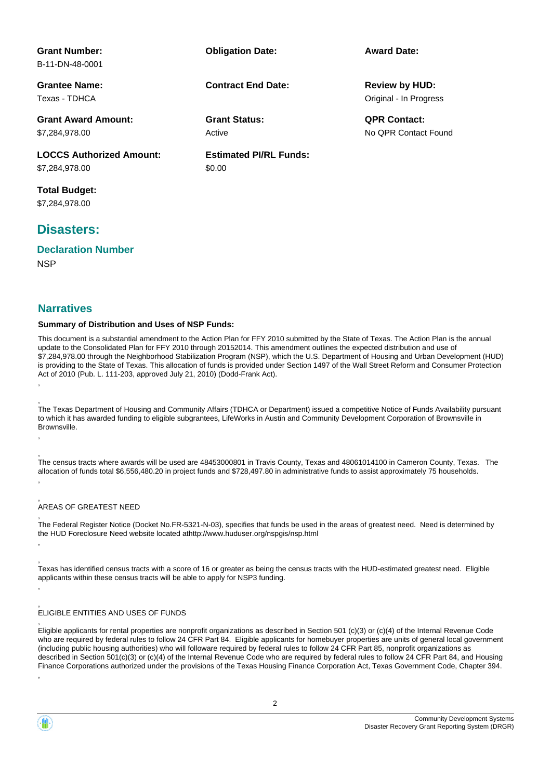| <b>Grant Number:</b>            | <b>Obligation Date:</b>       | <b>Award Date:</b>     |
|---------------------------------|-------------------------------|------------------------|
| B-11-DN-48-0001                 |                               |                        |
| <b>Grantee Name:</b>            | <b>Contract End Date:</b>     | <b>Review by HUD:</b>  |
| Texas - TDHCA                   |                               | Original - In Progress |
| <b>Grant Award Amount:</b>      | <b>Grant Status:</b>          | <b>QPR Contact:</b>    |
| \$7,284,978,00                  | Active                        | No OPR Contact Found   |
| <b>LOCCS Authorized Amount:</b> | <b>Estimated PI/RL Funds:</b> |                        |
| \$7,284,978.00                  | \$0.00                        |                        |
| <b>Total Budget:</b>            |                               |                        |
| \$7,284,978.00                  |                               |                        |

## **Disasters:**

**NSP Declaration Number**

### **Narratives**

, ,

, ,

, ,

,

,

,

#### **Summary of Distribution and Uses of NSP Funds:**

This document is a substantial amendment to the Action Plan for FFY 2010 submitted by the State of Texas. The Action Plan is the annual update to the Consolidated Plan for FFY 2010 through 20152014. This amendment outlines the expected distribution and use of \$7,284,978.00 through the Neighborhood Stabilization Program (NSP), which the U.S. Department of Housing and Urban Development (HUD) is providing to the State of Texas. This allocation of funds is provided under Section 1497 of the Wall Street Reform and Consumer Protection Act of 2010 (Pub. L. 111-203, approved July 21, 2010) (Dodd-Frank Act).

The Texas Department of Housing and Community Affairs (TDHCA or Department) issued a competitive Notice of Funds Availability pursuant to which it has awarded funding to eligible subgrantees, LifeWorks in Austin and Community Development Corporation of Brownsville in Brownsville.

The census tracts where awards will be used are 48453000801 in Travis County, Texas and 48061014100 in Cameron County, Texas. The allocation of funds total \$6,556,480.20 in project funds and \$728,497.80 in administrative funds to assist approximately 75 households. ,

#### , AREAS OF GREATEST NEED

, The Federal Register Notice (Docket No.FR-5321-N-03), specifies that funds be used in the areas of greatest need. Need is determined by the HUD Foreclosure Need website located athttp://www.huduser.org/nspgis/nsp.html

Texas has identified census tracts with a score of 16 or greater as being the census tracts with the HUD-estimated greatest need. Eligible applicants within these census tracts will be able to apply for NSP3 funding.

#### , ELIGIBLE ENTITIES AND USES OF FUNDS

Eligible applicants for rental properties are nonprofit organizations as described in Section 501 (c)(3) or (c)(4) of the Internal Revenue Code who are required by federal rules to follow 24 CFR Part 84. Eligible applicants for homebuyer properties are units of general local government (including public housing authorities) who will followare required by federal rules to follow 24 CFR Part 85, nonprofit organizations as described in Section 501(c)(3) or (c)(4) of the Internal Revenue Code who are required by federal rules to follow 24 CFR Part 84, and Housing Finance Corporations authorized under the provisions of the Texas Housing Finance Corporation Act, Texas Government Code, Chapter 394.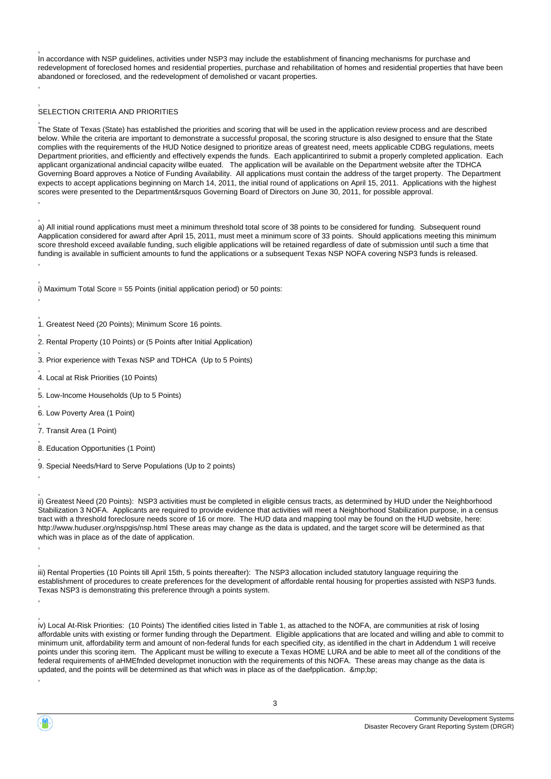In accordance with NSP guidelines, activities under NSP3 may include the establishment of financing mechanisms for purchase and redevelopment of foreclosed homes and residential properties, purchase and rehabilitation of homes and residential properties that have been abandoned or foreclosed, and the redevelopment of demolished or vacant properties.

#### , SELECTION CRITERIA AND PRIORITIES

,

,

,

,

,

,

,

, ,

,

, ,

, The State of Texas (State) has established the priorities and scoring that will be used in the application review process and are described below. While the criteria are important to demonstrate a successful proposal, the scoring structure is also designed to ensure that the State complies with the requirements of the HUD Notice designed to prioritize areas of greatest need, meets applicable CDBG regulations, meets Department priorities, and efficiently and effectively expends the funds. Each applicantirired to submit a properly completed application. Each applicant organizational andincial capacity willbe euated. The application will be available on the Department website after the TDHCA Governing Board approves a Notice of Funding Availability. All applications must contain the address of the target property. The Department expects to accept applications beginning on March 14, 2011, the initial round of applications on April 15, 2011. Applications with the highest scores were presented to the Department&rsquos Governing Board of Directors on June 30, 2011, for possible approval. ,

, a) All initial round applications must meet a minimum threshold total score of 38 points to be considered for funding. Subsequent round Aapplication considered for award after April 15, 2011, must meet a minimum score of 33 points. Should applications meeting this minimum score threshold exceed available funding, such eligible applications will be retained regardless of date of submission until such a time that funding is available in sufficient amounts to fund the applications or a subsequent Texas NSP NOFA covering NSP3 funds is released.

, i) Maximum Total Score = 55 Points (initial application period) or 50 points:

- , 1. Greatest Need (20 Points); Minimum Score 16 points.
- , 2. Rental Property (10 Points) or (5 Points after Initial Application)
- 3. Prior experience with Texas NSP and TDHCA (Up to 5 Points)
- , 4. Local at Risk Priorities (10 Points)
- , 5. Low-Income Households (Up to 5 Points)
- , 6. Low Poverty Area (1 Point)
- 7. Transit Area (1 Point)
- , 8. Education Opportunities (1 Point)
- 9. Special Needs/Hard to Serve Populations (Up to 2 points)

ii) Greatest Need (20 Points): NSP3 activities must be completed in eligible census tracts, as determined by HUD under the Neighborhood Stabilization 3 NOFA. Applicants are required to provide evidence that activities will meet a Neighborhood Stabilization purpose, in a census tract with a threshold foreclosure needs score of 16 or more. The HUD data and mapping tool may be found on the HUD website, here: http://www.huduser.org/nspgis/nsp.html These areas may change as the data is updated, and the target score will be determined as that which was in place as of the date of application.

, iii) Rental Properties (10 Points till April 15th, 5 points thereafter): The NSP3 allocation included statutory language requiring the establishment of procedures to create preferences for the development of affordable rental housing for properties assisted with NSP3 funds. Texas NSP3 is demonstrating this preference through a points system.

iv) Local At-Risk Priorities: (10 Points) The identified cities listed in Table 1, as attached to the NOFA, are communities at risk of losing affordable units with existing or former funding through the Department. Eligible applications that are located and willing and able to commit to minimum unit, affordability term and amount of non-federal funds for each specified city, as identified in the chart in Addendum 1 will receive points under this scoring item. The Applicant must be willing to execute a Texas HOME LURA and be able to meet all of the conditions of the federal requirements of aHMEfnded developmet inonuction with the requirements of this NOFA. These areas may change as the data is updated, and the points will be determined as that which was in place as of the daefpplication. ∓bp;

,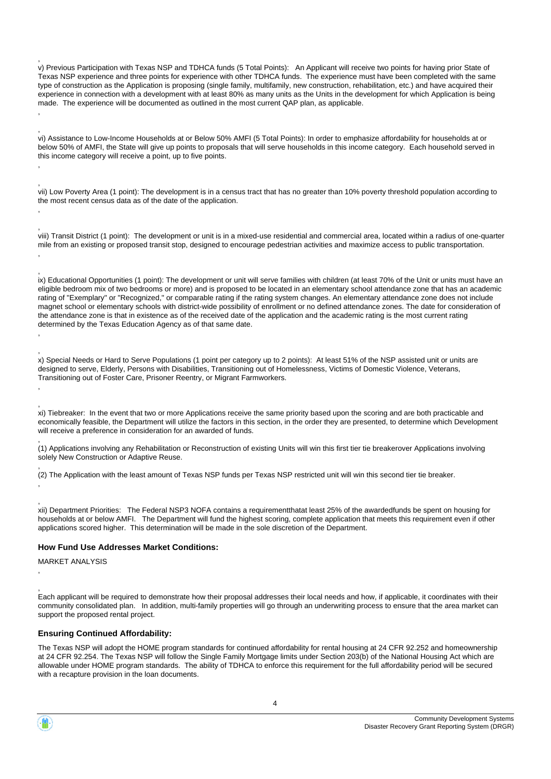, v) Previous Participation with Texas NSP and TDHCA funds (5 Total Points): An Applicant will receive two points for having prior State of Texas NSP experience and three points for experience with other TDHCA funds. The experience must have been completed with the same type of construction as the Application is proposing (single family, multifamily, new construction, rehabilitation, etc.) and have acquired their experience in connection with a development with at least 80% as many units as the Units in the development for which Application is being made. The experience will be documented as outlined in the most current QAP plan, as applicable. ,

, vi) Assistance to Low-Income Households at or Below 50% AMFI (5 Total Points): In order to emphasize affordability for households at or below 50% of AMFI, the State will give up points to proposals that will serve households in this income category. Each household served in this income category will receive a point, up to five points.

vii) Low Poverty Area (1 point): The development is in a census tract that has no greater than 10% poverty threshold population according to the most recent census data as of the date of the application.

viii) Transit District (1 point): The development or unit is in a mixed-use residential and commercial area, located within a radius of one-quarter mile from an existing or proposed transit stop, designed to encourage pedestrian activities and maximize access to public transportation. ,

ix) Educational Opportunities (1 point): The development or unit will serve families with children (at least 70% of the Unit or units must have an eligible bedroom mix of two bedrooms or more) and is proposed to be located in an elementary school attendance zone that has an academic rating of "Exemplary" or "Recognized," or comparable rating if the rating system changes. An elementary attendance zone does not include magnet school or elementary schools with district-wide possibility of enrollment or no defined attendance zones. The date for consideration of the attendance zone is that in existence as of the received date of the application and the academic rating is the most current rating determined by the Texas Education Agency as of that same date.

x) Special Needs or Hard to Serve Populations (1 point per category up to 2 points): At least 51% of the NSP assisted unit or units are designed to serve, Elderly, Persons with Disabilities, Transitioning out of Homelessness, Victims of Domestic Violence, Veterans, Transitioning out of Foster Care, Prisoner Reentry, or Migrant Farmworkers.

, xi) Tiebreaker: In the event that two or more Applications receive the same priority based upon the scoring and are both practicable and economically feasible, the Department will utilize the factors in this section, in the order they are presented, to determine which Development will receive a preference in consideration for an awarded of funds.

, (1) Applications involving any Rehabilitation or Reconstruction of existing Units will win this first tier tie breakerover Applications involving solely New Construction or Adaptive Reuse.

, (2) The Application with the least amount of Texas NSP funds per Texas NSP restricted unit will win this second tier tie breaker.

xii) Department Priorities: The Federal NSP3 NOFA contains a requirementthatat least 25% of the awardedfunds be spent on housing for households at or below AMFI. The Department will fund the highest scoring, complete application that meets this requirement even if other applications scored higher. This determination will be made in the sole discretion of the Department.

#### **How Fund Use Addresses Market Conditions:**

MARKET ANALYSIS

, ,

, ,

,

, ,

,

, ,

,

, Each applicant will be required to demonstrate how their proposal addresses their local needs and how, if applicable, it coordinates with their community consolidated plan. In addition, multi-family properties will go through an underwriting process to ensure that the area market can support the proposed rental project.

#### **Ensuring Continued Affordability:**

The Texas NSP will adopt the HOME program standards for continued affordability for rental housing at 24 CFR 92.252 and homeownership at 24 CFR 92.254. The Texas NSP will follow the Single Family Mortgage limits under Section 203(b) of the National Housing Act which are allowable under HOME program standards. The ability of TDHCA to enforce this requirement for the full affordability period will be secured with a recapture provision in the loan documents.

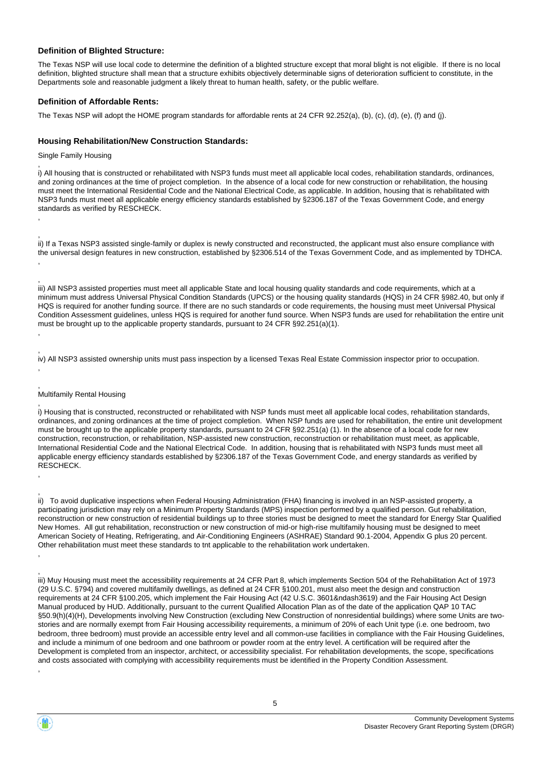### **Definition of Blighted Structure:**

The Texas NSP will use local code to determine the definition of a blighted structure except that moral blight is not eligible. If there is no local definition, blighted structure shall mean that a structure exhibits objectively determinable signs of deterioration sufficient to constitute, in the Departments sole and reasonable judgment a likely threat to human health, safety, or the public welfare.

### **Definition of Affordable Rents:**

The Texas NSP will adopt the HOME program standards for affordable rents at 24 CFR 92.252(a), (b), (c), (d), (e), (f) and (j).

### **Housing Rehabilitation/New Construction Standards:**

Single Family Housing

,

,

, ,

, i) All housing that is constructed or rehabilitated with NSP3 funds must meet all applicable local codes, rehabilitation standards, ordinances, and zoning ordinances at the time of project completion. In the absence of a local code for new construction or rehabilitation, the housing must meet the International Residential Code and the National Electrical Code, as applicable. In addition, housing that is rehabilitated with NSP3 funds must meet all applicable energy efficiency standards established by §2306.187 of the Texas Government Code, and energy standards as verified by RESCHECK.

, ii) If a Texas NSP3 assisted single-family or duplex is newly constructed and reconstructed, the applicant must also ensure compliance with the universal design features in new construction, established by §2306.514 of the Texas Government Code, and as implemented by TDHCA. ,

, iii) All NSP3 assisted properties must meet all applicable State and local housing quality standards and code requirements, which at a minimum must address Universal Physical Condition Standards (UPCS) or the housing quality standards (HQS) in 24 CFR §982.40, but only if HQS is required for another funding source. If there are no such standards or code requirements, the housing must meet Universal Physical Condition Assessment guidelines, unless HQS is required for another fund source. When NSP3 funds are used for rehabilitation the entire unit must be brought up to the applicable property standards, pursuant to 24 CFR §92.251(a)(1). ,

, iv) All NSP3 assisted ownership units must pass inspection by a licensed Texas Real Estate Commission inspector prior to occupation.

#### , Multifamily Rental Housing

, i) Housing that is constructed, reconstructed or rehabilitated with NSP funds must meet all applicable local codes, rehabilitation standards, ordinances, and zoning ordinances at the time of project completion. When NSP funds are used for rehabilitation, the entire unit development must be brought up to the applicable property standards, pursuant to 24 CFR §92.251(a) (1). In the absence of a local code for new construction, reconstruction, or rehabilitation, NSP-assisted new construction, reconstruction or rehabilitation must meet, as applicable, International Residential Code and the National Electrical Code. In addition, housing that is rehabilitated with NSP3 funds must meet all applicable energy efficiency standards established by §2306.187 of the Texas Government Code, and energy standards as verified by RESCHECK.

ii) To avoid duplicative inspections when Federal Housing Administration (FHA) financing is involved in an NSP-assisted property, a participating jurisdiction may rely on a Minimum Property Standards (MPS) inspection performed by a qualified person. Gut rehabilitation, reconstruction or new construction of residential buildings up to three stories must be designed to meet the standard for Energy Star Qualified New Homes. All gut rehabilitation, reconstruction or new construction of mid-or high-rise multifamily housing must be designed to meet American Society of Heating, Refrigerating, and Air-Conditioning Engineers (ASHRAE) Standard 90.1-2004, Appendix G plus 20 percent. Other rehabilitation must meet these standards to tnt applicable to the rehabilitation work undertaken. ,

, iii) Muy Housing must meet the accessibility requirements at 24 CFR Part 8, which implements Section 504 of the Rehabilitation Act of 1973 (29 U.S.C. §794) and covered multifamily dwellings, as defined at 24 CFR §100.201, must also meet the design and construction requirements at 24 CFR §100.205, which implement the Fair Housing Act (42 U.S.C. 3601&ndash3619) and the Fair Housing Act Design Manual produced by HUD. Additionally, pursuant to the current Qualified Allocation Plan as of the date of the application QAP 10 TAC §50.9(h)(4)(H), Developments involving New Construction (excluding New Construction of nonresidential buildings) where some Units are twostories and are normally exempt from Fair Housing accessibility requirements, a minimum of 20% of each Unit type (i.e. one bedroom, two bedroom, three bedroom) must provide an accessible entry level and all common-use facilities in compliance with the Fair Housing Guidelines, and include a minimum of one bedroom and one bathroom or powder room at the entry level. A certification will be required after the Development is completed from an inspector, architect, or accessibility specialist. For rehabilitation developments, the scope, specifications and costs associated with complying with accessibility requirements must be identified in the Property Condition Assessment.



,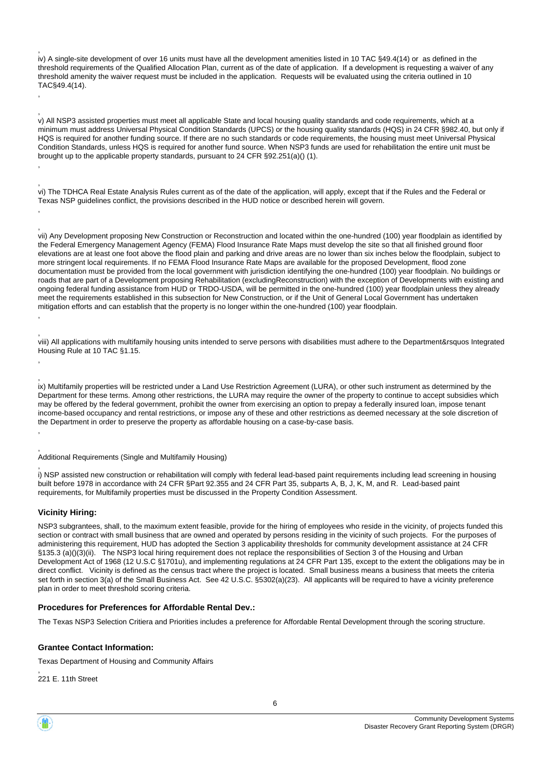iv) A single-site development of over 16 units must have all the development amenities listed in 10 TAC §49.4(14) or as defined in the threshold requirements of the Qualified Allocation Plan, current as of the date of application. If a development is requesting a waiver of any threshold amenity the waiver request must be included in the application. Requests will be evaluated using the criteria outlined in 10 TAC§49.4(14). ,

, v) All NSP3 assisted properties must meet all applicable State and local housing quality standards and code requirements, which at a minimum must address Universal Physical Condition Standards (UPCS) or the housing quality standards (HQS) in 24 CFR §982.40, but only if HQS is required for another funding source. If there are no such standards or code requirements, the housing must meet Universal Physical Condition Standards, unless HQS is required for another fund source. When NSP3 funds are used for rehabilitation the entire unit must be brought up to the applicable property standards, pursuant to 24 CFR §92.251(a)() (1).

, vi) The TDHCA Real Estate Analysis Rules current as of the date of the application, will apply, except that if the Rules and the Federal or Texas NSP guidelines conflict, the provisions described in the HUD notice or described herein will govern.

vii) Any Development proposing New Construction or Reconstruction and located within the one-hundred (100) year floodplain as identified by the Federal Emergency Management Agency (FEMA) Flood Insurance Rate Maps must develop the site so that all finished ground floor elevations are at least one foot above the flood plain and parking and drive areas are no lower than six inches below the floodplain, subject to more stringent local requirements. If no FEMA Flood Insurance Rate Maps are available for the proposed Development, flood zone documentation must be provided from the local government with jurisdiction identifying the one-hundred (100) year floodplain. No buildings or roads that are part of a Development proposing Rehabilitation (excludingReconstruction) with the exception of Developments with existing and ongoing federal funding assistance from HUD or TRDO-USDA, will be permitted in the one-hundred (100) year floodplain unless they already meet the requirements established in this subsection for New Construction, or if the Unit of General Local Government has undertaken mitigation efforts and can establish that the property is no longer within the one-hundred (100) year floodplain.

, viii) All applications with multifamily housing units intended to serve persons with disabilities must adhere to the Department&rsquos Integrated Housing Rule at 10 TAC §1.15.

ix) Multifamily properties will be restricted under a Land Use Restriction Agreement (LURA), or other such instrument as determined by the Department for these terms. Among other restrictions, the LURA may require the owner of the property to continue to accept subsidies which may be offered by the federal government, prohibit the owner from exercising an option to prepay a federally insured loan, impose tenant income-based occupancy and rental restrictions, or impose any of these and other restrictions as deemed necessary at the sole discretion of the Department in order to preserve the property as affordable housing on a case-by-case basis. ,

, Additional Requirements (Single and Multifamily Housing)

, i) NSP assisted new construction or rehabilitation will comply with federal lead-based paint requirements including lead screening in housing built before 1978 in accordance with 24 CFR §Part 92.355 and 24 CFR Part 35, subparts A, B, J, K, M, and R. Lead-based paint requirements, for Multifamily properties must be discussed in the Property Condition Assessment.

### **Vicinity Hiring:**

,

,

, ,

,

, ,

NSP3 subgrantees, shall, to the maximum extent feasible, provide for the hiring of employees who reside in the vicinity, of projects funded this section or contract with small business that are owned and operated by persons residing in the vicinity of such projects. For the purposes of administering this requirement, HUD has adopted the Section 3 applicability thresholds for community development assistance at 24 CFR §135.3 (a)()(3)(ii). The NSP3 local hiring requirement does not replace the responsibilities of Section 3 of the Housing and Urban Development Act of 1968 (12 U.S.C §1701u), and implementing regulations at 24 CFR Part 135, except to the extent the obligations may be in direct conflict. Vicinity is defined as the census tract where the project is located. Small business means a business that meets the criteria set forth in section 3(a) of the Small Business Act. See 42 U.S.C. §5302(a)(23). All applicants will be required to have a vicinity preference plan in order to meet threshold scoring criteria.

#### **Procedures for Preferences for Affordable Rental Dev.:**

The Texas NSP3 Selection Critiera and Priorities includes a preference for Affordable Rental Development through the scoring structure.

### **Grantee Contact Information:**

Texas Department of Housing and Community Affairs

, 221 E. 11th Street

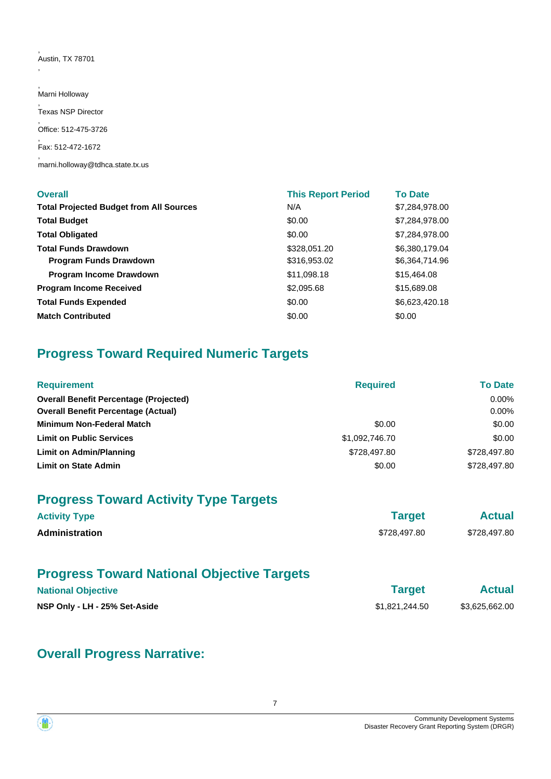, Austin, TX 78701

,

, Marni Holloway , Texas NSP Director , Office: 512-475-3726 , Fax: 512-472-1672 , marni.holloway@tdhca.state.tx.us

| <b>Overall</b>                                 | <b>This Report Period</b> | <b>To Date</b> |
|------------------------------------------------|---------------------------|----------------|
| <b>Total Projected Budget from All Sources</b> | N/A                       | \$7,284,978.00 |
| <b>Total Budget</b>                            | \$0.00                    | \$7,284,978.00 |
| <b>Total Obligated</b>                         | \$0.00                    | \$7,284,978.00 |
| <b>Total Funds Drawdown</b>                    | \$328,051.20              | \$6,380,179.04 |
| <b>Program Funds Drawdown</b>                  | \$316,953.02              | \$6,364,714.96 |
| Program Income Drawdown                        | \$11,098.18               | \$15,464.08    |
| <b>Program Income Received</b>                 | \$2,095.68                | \$15,689.08    |
| <b>Total Funds Expended</b>                    | \$0.00                    | \$6,623,420.18 |
| <b>Match Contributed</b>                       | \$0.00                    | \$0.00         |

# **Progress Toward Required Numeric Targets**

| <b>Requirement</b>                            | <b>Required</b> | <b>To Date</b> |
|-----------------------------------------------|-----------------|----------------|
| <b>Overall Benefit Percentage (Projected)</b> |                 | $0.00\%$       |
| <b>Overall Benefit Percentage (Actual)</b>    |                 | $0.00\%$       |
| <b>Minimum Non-Federal Match</b>              | \$0.00          | \$0.00         |
| <b>Limit on Public Services</b>               | \$1,092,746.70  | \$0.00         |
| <b>Limit on Admin/Planning</b>                | \$728,497.80    | \$728,497.80   |
| <b>Limit on State Admin</b>                   | \$0.00          | \$728,497.80   |

# **Progress Toward Activity Type Targets**

| <b>Activity Type</b>  | <b>Target</b> | <b>Actual</b> |  |
|-----------------------|---------------|---------------|--|
| <b>Administration</b> | \$728,497.80  | \$728,497.80  |  |

# **Progress Toward National Objective Targets**

| <b>National Objective</b>     | <b>Target</b>  | <b>Actual</b>  |
|-------------------------------|----------------|----------------|
| NSP Only - LH - 25% Set-Aside | \$1,821,244.50 | \$3,625,662.00 |

# **Overall Progress Narrative:**

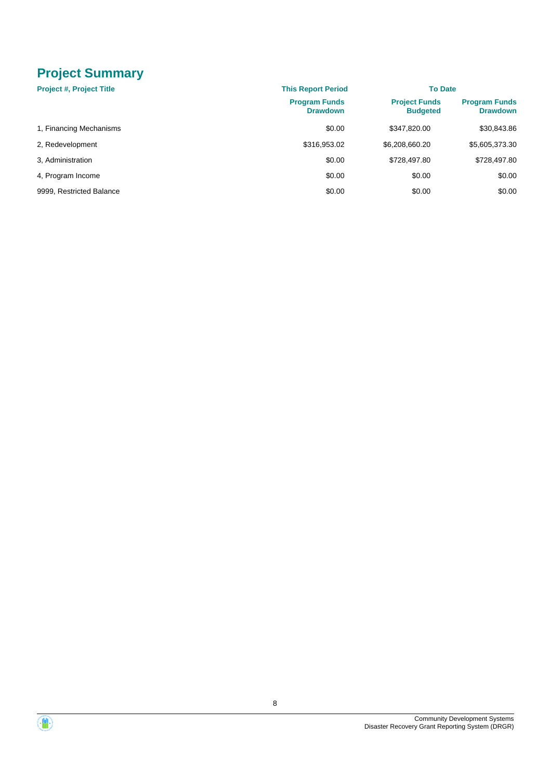# **Project Summary**

| <b>Project #, Project Title</b> | <b>This Report Period</b>               | <b>To Date</b>                          |                                         |
|---------------------------------|-----------------------------------------|-----------------------------------------|-----------------------------------------|
|                                 | <b>Program Funds</b><br><b>Drawdown</b> | <b>Project Funds</b><br><b>Budgeted</b> | <b>Program Funds</b><br><b>Drawdown</b> |
| 1, Financing Mechanisms         | \$0.00                                  | \$347.820.00                            | \$30,843.86                             |
| 2, Redevelopment                | \$316,953.02                            | \$6,208,660.20                          | \$5,605,373.30                          |
| 3. Administration               | \$0.00                                  | \$728,497.80                            | \$728,497.80                            |
| 4, Program Income               | \$0.00                                  | \$0.00                                  | \$0.00                                  |
| 9999, Restricted Balance        | \$0.00                                  | \$0.00                                  | \$0.00                                  |

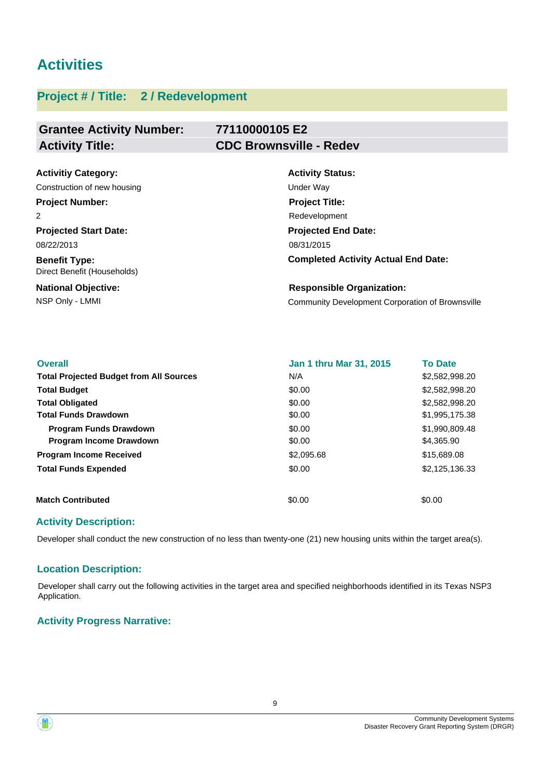# **Activities**

# **Project # / Title: 2 / Redevelopment**

### **Grantee Activity Number: 77110000105 E2 Activity Title: CDC Brownsville - Redev**

| <b>Activitiy Category:</b>                          | <b>Activity Status:</b>                                 |
|-----------------------------------------------------|---------------------------------------------------------|
| Construction of new housing                         | Under Way                                               |
| <b>Project Number:</b>                              | <b>Project Title:</b>                                   |
| 2                                                   | Redevelopment                                           |
| <b>Projected Start Date:</b>                        | <b>Projected End Date:</b>                              |
| 08/22/2013                                          | 08/31/2015                                              |
| <b>Benefit Type:</b><br>Direct Benefit (Households) | <b>Completed Activity Actual End Date:</b>              |
| <b>National Objective:</b>                          | <b>Responsible Organization:</b>                        |
| NSP Only - LMMI                                     | <b>Community Development Corporation of Brownsville</b> |

| <b>Overall</b>                                 | <b>Jan 1 thru Mar 31, 2015</b> | <b>To Date</b> |
|------------------------------------------------|--------------------------------|----------------|
| <b>Total Projected Budget from All Sources</b> | N/A                            | \$2,582,998.20 |
| <b>Total Budget</b>                            | \$0.00                         | \$2,582,998.20 |
| <b>Total Obligated</b>                         | \$0.00                         | \$2,582,998.20 |
| <b>Total Funds Drawdown</b>                    | \$0.00                         | \$1,995,175.38 |
| <b>Program Funds Drawdown</b>                  | \$0.00                         | \$1,990,809.48 |
| Program Income Drawdown                        | \$0.00                         | \$4,365.90     |
| <b>Program Income Received</b>                 | \$2,095.68                     | \$15,689.08    |
| <b>Total Funds Expended</b>                    | \$0.00                         | \$2,125,136.33 |
| <b>Match Contributed</b>                       | \$0.00                         | \$0.00         |

## **Activity Description:**

Developer shall conduct the new construction of no less than twenty-one (21) new housing units within the target area(s).

## **Location Description:**

Developer shall carry out the following activities in the target area and specified neighborhoods identified in its Texas NSP3 Application.

## **Activity Progress Narrative:**



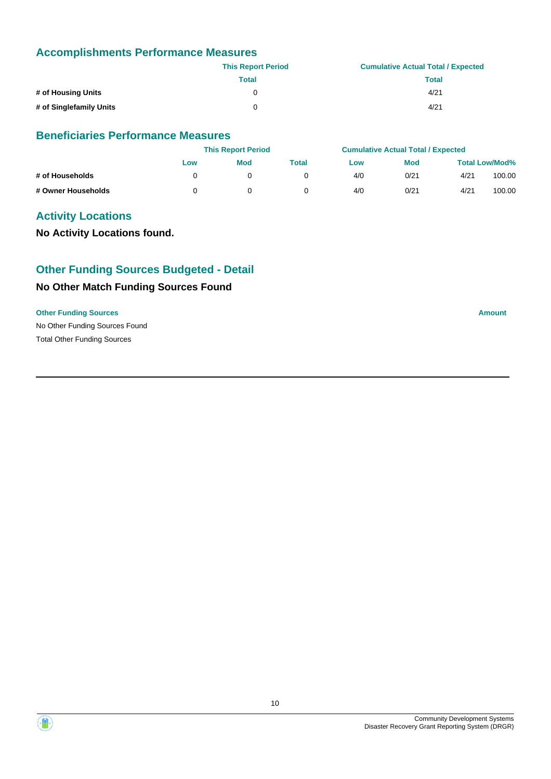## **Accomplishments Performance Measures**

|                         | <b>This Report Period</b> | <b>Cumulative Actual Total / Expected</b> |
|-------------------------|---------------------------|-------------------------------------------|
|                         | <b>Total</b>              | <b>Total</b>                              |
| # of Housing Units      | 0                         | 4/21                                      |
| # of Singlefamily Units | 0                         | 4/21                                      |

## **Beneficiaries Performance Measures**

|                    | <b>This Report Period</b> |            | <b>Cumulative Actual Total / Expected</b> |     |            |      |                       |
|--------------------|---------------------------|------------|-------------------------------------------|-----|------------|------|-----------------------|
|                    | Low                       | <b>Mod</b> | Total                                     | Low | <b>Mod</b> |      | <b>Total Low/Mod%</b> |
| # of Households    |                           |            |                                           | 4/0 | 0/21       | 4/21 | 100.00                |
| # Owner Households |                           |            |                                           | 4/0 | 0/21       | 4/21 | 100.00                |

## **Activity Locations**

**No Activity Locations found.**

## **Other Funding Sources Budgeted - Detail**

## **No Other Match Funding Sources Found**

### **Other Funding Sources Amount**

No Other Funding Sources Found Total Other Funding Sources



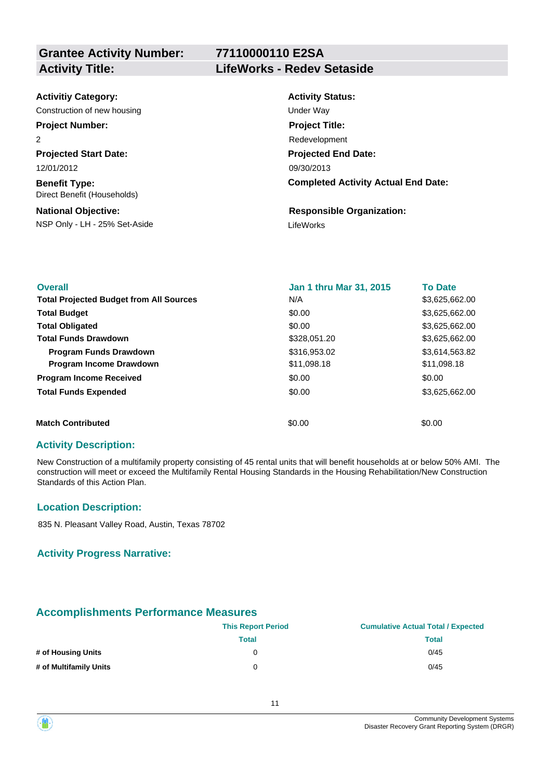## **77110000110 E2SA Activity Title: LifeWorks - Redev Setaside**

| <b>Activitiy Category:</b>                          | <b>Activity Status:</b>                    |
|-----------------------------------------------------|--------------------------------------------|
| Construction of new housing                         | Under Way                                  |
| <b>Project Number:</b>                              | <b>Project Title:</b>                      |
| 2                                                   | Redevelopment                              |
| <b>Projected Start Date:</b>                        | <b>Projected End Date:</b>                 |
| 12/01/2012                                          | 09/30/2013                                 |
| <b>Benefit Type:</b><br>Direct Benefit (Households) | <b>Completed Activity Actual End Date:</b> |
| <b>National Objective:</b>                          | <b>Responsible Organization:</b>           |
| NSP Only - LH - 25% Set-Aside                       | LifeWorks                                  |

| <b>Overall</b>                                 | <b>Jan 1 thru Mar 31, 2015</b> | <b>To Date</b> |
|------------------------------------------------|--------------------------------|----------------|
| <b>Total Projected Budget from All Sources</b> | N/A                            | \$3,625,662.00 |
| <b>Total Budget</b>                            | \$0.00                         | \$3,625,662.00 |
| <b>Total Obligated</b>                         | \$0.00                         | \$3,625,662.00 |
| <b>Total Funds Drawdown</b>                    | \$328,051.20                   | \$3,625,662.00 |
| <b>Program Funds Drawdown</b>                  | \$316,953.02                   | \$3,614,563.82 |
| <b>Program Income Drawdown</b>                 | \$11,098.18                    | \$11,098.18    |
| <b>Program Income Received</b>                 | \$0.00                         | \$0.00         |
| <b>Total Funds Expended</b>                    | \$0.00                         | \$3,625,662.00 |
| <b>Match Contributed</b>                       | \$0.00                         | \$0.00         |

## **Activity Description:**

New Construction of a multifamily property consisting of 45 rental units that will benefit households at or below 50% AMI. The construction will meet or exceed the Multifamily Rental Housing Standards in the Housing Rehabilitation/New Construction Standards of this Action Plan.

## **Location Description:**

835 N. Pleasant Valley Road, Austin, Texas 78702

### **Activity Progress Narrative:**

## **Accomplishments Performance Measures**

|                        | <b>This Report Period</b> | <b>Cumulative Actual Total / Expected</b> |  |  |
|------------------------|---------------------------|-------------------------------------------|--|--|
|                        | Total                     | Total                                     |  |  |
| # of Housing Units     | 0                         | 0/45                                      |  |  |
| # of Multifamily Units | 0                         | 0/45                                      |  |  |